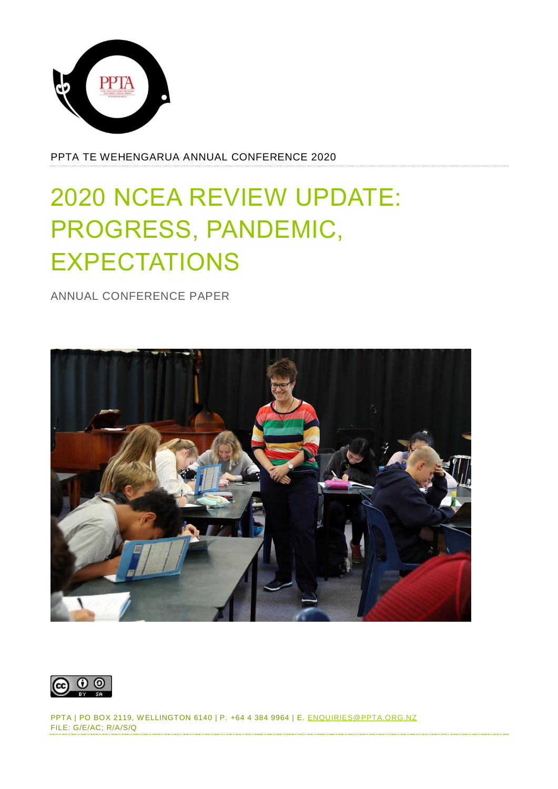

PPTA TE WEHENGARUA ANNUAL CONFERENCE 2020

# 2020 NCEA REVIEW UPDATE: PROGRESS, PANDEMIC, EXPECTATIONS

ANNUAL CONFERENCE PAPER



PPTA | PO BOX 2119, W ELLINGTON 6140 | P. +64 4 384 9964 | E. [ENQUIRIES@PPTA.ORG.NZ](mailto:enquiries@ppta.org.nz) FILE: G/E/AC; R/A/S/Q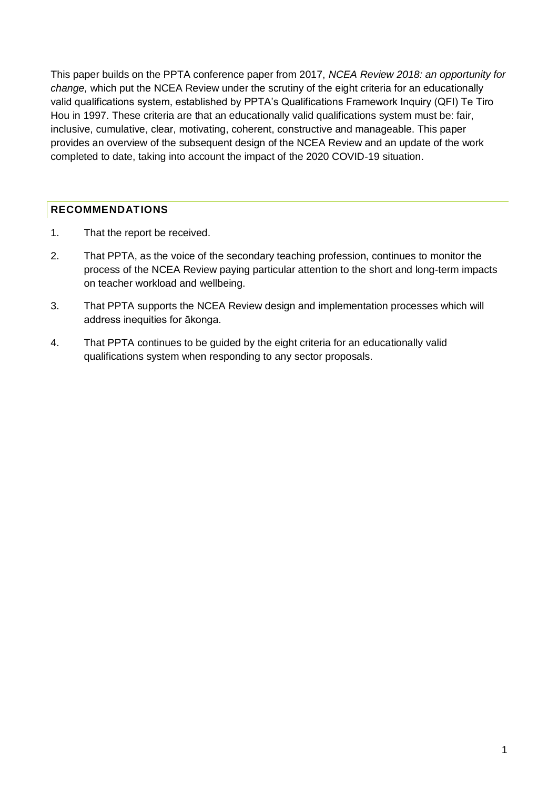This paper builds on the PPTA conference paper from 2017, *NCEA Review 2018: an opportunity for change,* which put the NCEA Review under the scrutiny of the eight criteria for an educationally valid qualifications system, established by PPTA's Qualifications Framework Inquiry (QFI) Te Tiro Hou in 1997. These criteria are that an educationally valid qualifications system must be: fair, inclusive, cumulative, clear, motivating, coherent, constructive and manageable. This paper provides an overview of the subsequent design of the NCEA Review and an update of the work completed to date, taking into account the impact of the 2020 COVID-19 situation.

### <span id="page-1-0"></span>**RECOMMENDATIONS**

- 1. That the report be received.
- 2. That PPTA, as the voice of the secondary teaching profession, continues to monitor the process of the NCEA Review paying particular attention to the short and long-term impacts on teacher workload and wellbeing.
- 3. That PPTA supports the NCEA Review design and implementation processes which will address inequities for ākonga.
- 4. That PPTA continues to be guided by the eight criteria for an educationally valid qualifications system when responding to any sector proposals.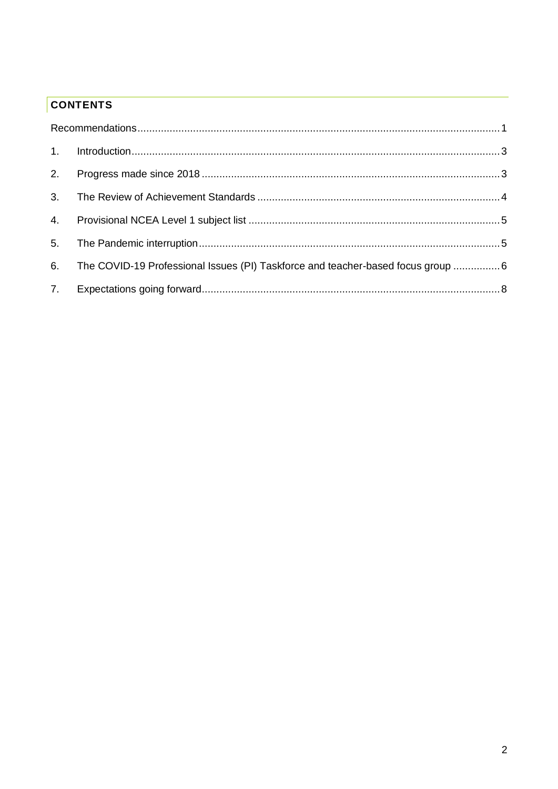# **CONTENTS**

| 6. | The COVID-19 Professional Issues (PI) Taskforce and teacher-based focus group 6 |  |
|----|---------------------------------------------------------------------------------|--|
|    |                                                                                 |  |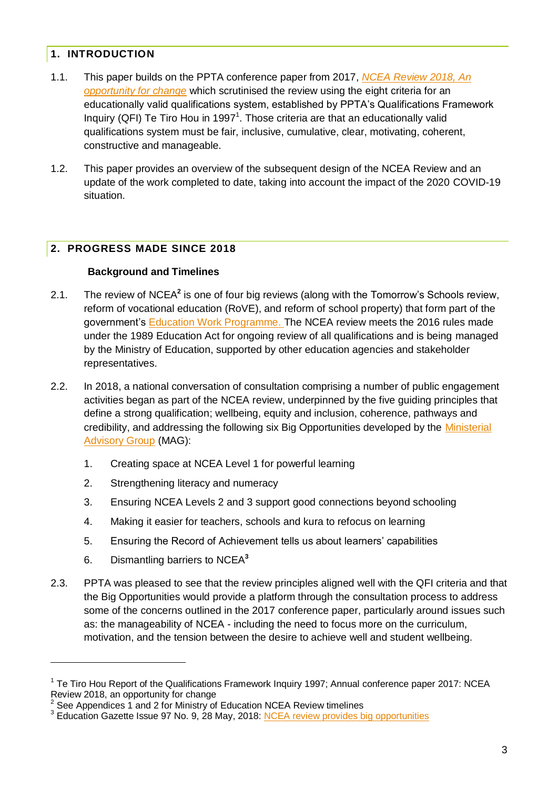## <span id="page-3-0"></span>**1. INTRODUCTION**

- 1.1. This paper builds on the PPTA conference paper from 2017, *[NCEA Review 2018, An](https://www.ppta.org.nz/dmsdocument/549)  [opportunity for change](https://www.ppta.org.nz/dmsdocument/549)* which scrutinised the review using the eight criteria for an educationally valid qualifications system, established by PPTA's Qualifications Framework Inquiry (QFI) Te Tiro Hou in 1997<sup>1</sup>. Those criteria are that an educationally valid qualifications system must be fair, inclusive, cumulative, clear, motivating, coherent, constructive and manageable.
- 1.2. This paper provides an overview of the subsequent design of the NCEA Review and an update of the work completed to date, taking into account the impact of the 2020 COVID-19 situation.

# <span id="page-3-1"></span>**2. PROGRESS MADE SINCE 2018**

#### **Background and Timelines**

- 2.1. The review of NCEA<sup>2</sup> is one of four big reviews (along with the Tomorrow's Schools review, reform of vocational education (RoVE), and reform of school property) that form part of the government's [Education Work Programme.](https://conversation.education.govt.nz/about/) The NCEA review meets the 2016 rules made under the 1989 Education Act for ongoing review of all qualifications and is being managed by the Ministry of Education, supported by other education agencies and stakeholder representatives.
- 2.2. In 2018, a national conversation of consultation comprising a number of public engagement activities began as part of the NCEA review, underpinned by the five guiding principles that define a strong qualification; wellbeing, equity and inclusion, coherence, pathways and credibility, and addressing the following six Big Opportunities developed by the [Ministerial](https://conversation.education.govt.nz/conversations/curriculum-progress-and-achievement/what-you-said-4/ministerial-advisory-group-members/)  [Advisory Group](https://conversation.education.govt.nz/conversations/curriculum-progress-and-achievement/what-you-said-4/ministerial-advisory-group-members/) (MAG):
	- 1. Creating space at NCEA Level 1 for powerful learning
	- 2. Strengthening literacy and numeracy
	- 3. Ensuring NCEA Levels 2 and 3 support good connections beyond schooling
	- 4. Making it easier for teachers, schools and kura to refocus on learning
	- 5. Ensuring the Record of Achievement tells us about learners' capabilities
	- 6. Dismantling barriers to NCEA**<sup>3</sup>**

-

2.3. PPTA was pleased to see that the review principles aligned well with the QFI criteria and that the Big Opportunities would provide a platform through the consultation process to address some of the concerns outlined in the 2017 conference paper, particularly around issues such as: the manageability of NCEA - including the need to focus more on the curriculum, motivation, and the tension between the desire to achieve well and student wellbeing.

<sup>&</sup>lt;sup>1</sup> Te Tiro Hou Report of the Qualifications Framework Inquiry 1997; Annual conference paper 2017: NCEA Review 2018, an opportunity for change

<sup>2</sup> See Appendices 1 and 2 for Ministry of Education NCEA Review timelines

<sup>&</sup>lt;sup>3</sup> Education Gazette Issue 97 No. 9, 28 May, 2018: <u>[NCEA review provides big opportunities](https://gazette.education.govt.nz/articles/ncea-review-provides-big-opportunities/)</u>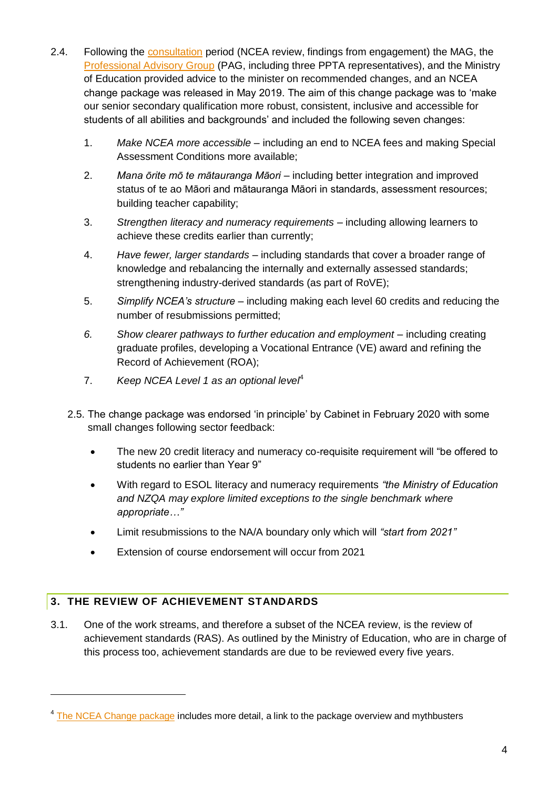- 2.4. Following the [consultation](https://conversation.education.govt.nz/conversations/ncea-review/background/findings-from-engagement/) period (NCEA review, findings from engagement) the MAG, the [Professional Advisory Group](https://conversation.education.govt.nz/conversations/ncea-review/background/advisory-groups/pag/) (PAG, including three PPTA representatives), and the Ministry of Education provided advice to the minister on recommended changes, and an NCEA change package was released in May 2019. The aim of this change package was to 'make our senior secondary qualification more robust, consistent, inclusive and accessible for students of all abilities and backgrounds' and included the following seven changes:
	- 1. *Make NCEA more accessible* including an end to NCEA fees and making Special Assessment Conditions more available;
	- 2. *Mana ōrite mō te mātauranga Māori* including better integration and improved status of te ao Māori and mātauranga Māori in standards, assessment resources; building teacher capability;
	- 3. *Strengthen literacy and numeracy requirements* including allowing learners to achieve these credits earlier than currently;
	- 4. *Have fewer, larger standards* including standards that cover a broader range of knowledge and rebalancing the internally and externally assessed standards; strengthening industry-derived standards (as part of RoVE);
	- 5. *Simplify NCEA's structure* including making each level 60 credits and reducing the number of resubmissions permitted;
	- *6. Show clearer pathways to further education and employment* including creating graduate profiles, developing a Vocational Entrance (VE) award and refining the Record of Achievement (ROA);
	- 7. *Keep NCEA Level 1 as an optional level*<sup>4</sup>
	- 2.5. The change package was endorsed 'in principle' by Cabinet in February 2020 with some small changes following sector feedback:
		- The new 20 credit literacy and numeracy co-requisite requirement will "be offered to students no earlier than Year 9"
		- With regard to ESOL literacy and numeracy requirements *"the Ministry of Education and NZQA may explore limited exceptions to the single benchmark where appropriate…"*
		- Limit resubmissions to the NA/A boundary only which will *"start from 2021"*
		- Extension of course endorsement will occur from 2021

# <span id="page-4-0"></span>**3. THE REVIEW OF ACHIEVEMENT STANDARDS**

-

3.1. One of the work streams, and therefore a subset of the NCEA review, is the review of achievement standards (RAS). As outlined by the Ministry of Education, who are in charge of this process too, achievement standards are due to be reviewed every five years.

<sup>&</sup>lt;sup>4</sup> [The NCEA Change package](https://conversation.education.govt.nz/conversations/ncea-review/change-package/) includes more detail, a link to the package overview and mythbusters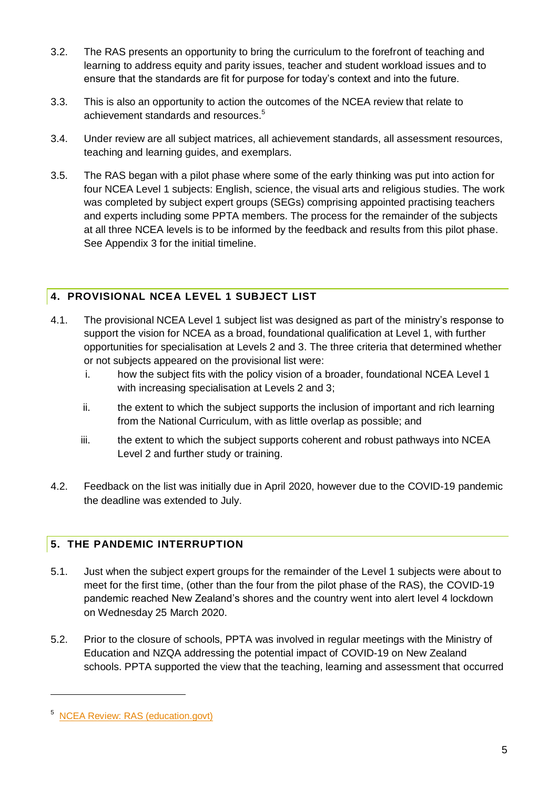- 3.2. The RAS presents an opportunity to bring the curriculum to the forefront of teaching and learning to address equity and parity issues, teacher and student workload issues and to ensure that the standards are fit for purpose for today's context and into the future.
- 3.3. This is also an opportunity to action the outcomes of the NCEA review that relate to achievement standards and resources.<sup>5</sup>
- 3.4. Under review are all subject matrices, all achievement standards, all assessment resources, teaching and learning guides, and exemplars.
- 3.5. The RAS began with a pilot phase where some of the early thinking was put into action for four NCEA Level 1 subjects: English, science, the visual arts and religious studies. The work was completed by subject expert groups (SEGs) comprising appointed practising teachers and experts including some PPTA members. The process for the remainder of the subjects at all three NCEA levels is to be informed by the feedback and results from this pilot phase. See Appendix 3 for the initial timeline.

# <span id="page-5-0"></span>**4. PROVISIONAL NCEA LEVEL 1 SUBJECT LIST**

- 4.1. The provisional NCEA Level 1 subject list was designed as part of the ministry's response to support the vision for NCEA as a broad, foundational qualification at Level 1, with further opportunities for specialisation at Levels 2 and 3. The three criteria that determined whether or not subjects appeared on the provisional list were:
	- i. how the subject fits with the policy vision of a broader, foundational NCEA Level 1 with increasing specialisation at Levels 2 and 3;
	- ii. the extent to which the subject supports the inclusion of important and rich learning from the National Curriculum, with as little overlap as possible; and
	- iii. the extent to which the subject supports coherent and robust pathways into NCEA Level 2 and further study or training.
- 4.2. Feedback on the list was initially due in April 2020, however due to the COVID-19 pandemic the deadline was extended to July.

# <span id="page-5-1"></span>**5. THE PANDEMIC INTERRUPTION**

- 5.1. Just when the subject expert groups for the remainder of the Level 1 subjects were about to meet for the first time, (other than the four from the pilot phase of the RAS), the COVID-19 pandemic reached New Zealand's shores and the country went into alert level 4 lockdown on Wednesday 25 March 2020.
- 5.2. Prior to the closure of schools, PPTA was involved in regular meetings with the Ministry of Education and NZQA addressing the potential impact of COVID-19 on New Zealand schools. PPTA supported the view that the teaching, learning and assessment that occurred

-

<sup>5</sup> [NCEA Review: RAS \(education.govt\)](https://conversation.education.govt.nz/conversations/ncea-review/review-of-achievement-standards/)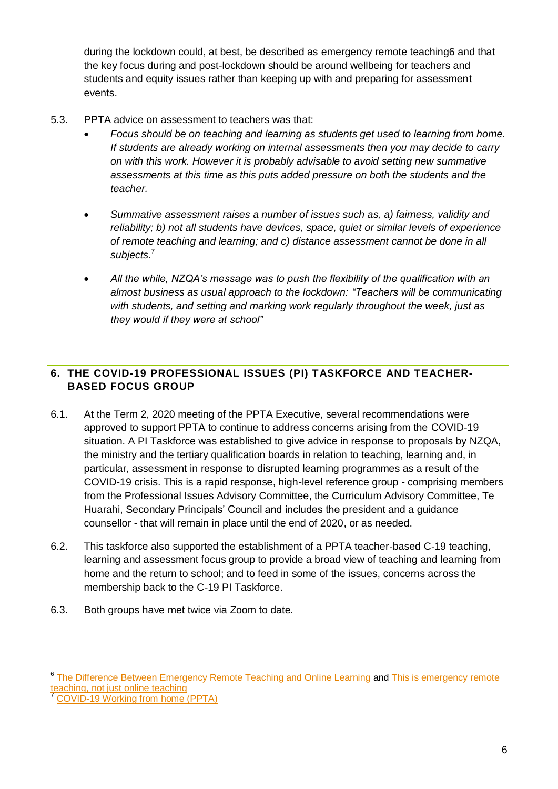during the lockdown could, at best, be described as emergency remote teaching6 and that the key focus during and post-lockdown should be around wellbeing for teachers and students and equity issues rather than keeping up with and preparing for assessment events.

- 5.3. PPTA advice on assessment to teachers was that:
	- *Focus should be on teaching and learning as students get used to learning from home. If students are already working on internal assessments then you may decide to carry on with this work. However it is probably advisable to avoid setting new summative assessments at this time as this puts added pressure on both the students and the teacher.*
	- *Summative assessment raises a number of issues such as, a) fairness, validity and reliability; b) not all students have devices, space, quiet or similar levels of experience of remote teaching and learning; and c) distance assessment cannot be done in all subjects*. 7
	- *All the while, NZQA's message was to push the flexibility of the qualification with an almost business as usual approach to the lockdown: "Teachers will be communicating with students, and setting and marking work regularly throughout the week, just as they would if they were at school"*

## <span id="page-6-0"></span>**6. THE COVID-19 PROFESSIONAL ISSUES (PI) TASKFORCE AND TEACHER-BASED FOCUS GROUP**

- 6.1. At the Term 2, 2020 meeting of the PPTA Executive, several recommendations were approved to support PPTA to continue to address concerns arising from the COVID-19 situation. A PI Taskforce was established to give advice in response to proposals by NZQA, the ministry and the tertiary qualification boards in relation to teaching, learning and, in particular, assessment in response to disrupted learning programmes as a result of the COVID-19 crisis. This is a rapid response, high-level reference group - comprising members from the Professional Issues Advisory Committee, the Curriculum Advisory Committee, Te Huarahi, Secondary Principals' Council and includes the president and a guidance counsellor - that will remain in place until the end of 2020, or as needed.
- 6.2. This taskforce also supported the establishment of a PPTA teacher-based C-19 teaching, learning and assessment focus group to provide a broad view of teaching and learning from home and the return to school; and to feed in some of the issues, concerns across the membership back to the C-19 PI Taskforce.
- 6.3. Both groups have met twice via Zoom to date.

-

<sup>&</sup>lt;sup>6</sup> [The Difference Between Emergency Remote Teaching and Online Learning](https://er.educause.edu/articles/2020/3/the-difference-between-emergency-remote-teaching-and-online-learning#:~:text=Emergency_Remote_Teaching,mode_due_to_crisis_circumstances.) and This is emergency remote eaching, not just online teaching

<sup>7</sup> [COVID-19 Working from home \(PPTA\)](https://www.ppta.org.nz/advice-and-issues/covid-19-working-from-home)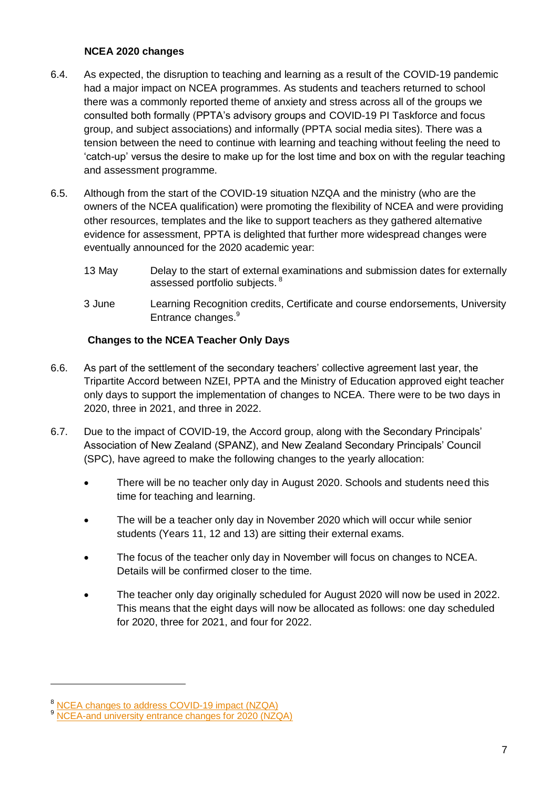#### **NCEA 2020 changes**

- 6.4. As expected, the disruption to teaching and learning as a result of the COVID-19 pandemic had a major impact on NCEA programmes. As students and teachers returned to school there was a commonly reported theme of anxiety and stress across all of the groups we consulted both formally (PPTA's advisory groups and COVID-19 PI Taskforce and focus group, and subject associations) and informally (PPTA social media sites). There was a tension between the need to continue with learning and teaching without feeling the need to 'catch-up' versus the desire to make up for the lost time and box on with the regular teaching and assessment programme.
- 6.5. Although from the start of the COVID-19 situation NZQA and the ministry (who are the owners of the NCEA qualification) were promoting the flexibility of NCEA and were providing other resources, templates and the like to support teachers as they gathered alternative evidence for assessment, PPTA is delighted that further more widespread changes were eventually announced for the 2020 academic year:
	- 13 May Delay to the start of external examinations and submission dates for externally assessed portfolio subiects. <sup>8</sup>
	- 3 June Learning Recognition credits, Certificate and course endorsements, University Entrance changes.<sup>9</sup>

### **Changes to the NCEA Teacher Only Days**

- 6.6. As part of the settlement of the secondary teachers' collective agreement last year, the Tripartite Accord between NZEI, PPTA and the Ministry of Education approved eight teacher only days to support the implementation of changes to NCEA. There were to be two days in 2020, three in 2021, and three in 2022.
- 6.7. Due to the impact of COVID-19, the Accord group, along with the Secondary Principals' Association of New Zealand (SPANZ), and New Zealand Secondary Principals' Council (SPC), have agreed to make the following changes to the yearly allocation:
	- There will be no teacher only day in August 2020. Schools and students need this time for teaching and learning.
	- The will be a teacher only day in November 2020 which will occur while senior students (Years 11, 12 and 13) are sitting their external exams.
	- The focus of the teacher only day in November will focus on changes to NCEA. Details will be confirmed closer to the time.
	- The teacher only day originally scheduled for August 2020 will now be used in 2022. This means that the eight days will now be allocated as follows: one day scheduled for 2020, three for 2021, and four for 2022.

-

<sup>&</sup>lt;sup>8</sup> [NCEA changes to address COVID-19 impact](https://www.nzqa.govt.nz/about-us/news/ncea-changes-to-address-covid-19-impact/) (NZQA)

<sup>&</sup>lt;sup>9</sup> [NCEA-and university entrance changes for 2020 \(NZQA\)](https://www.nzqa.govt.nz/about-us/news/ncea-and-university-entrance-changes-for-2020/)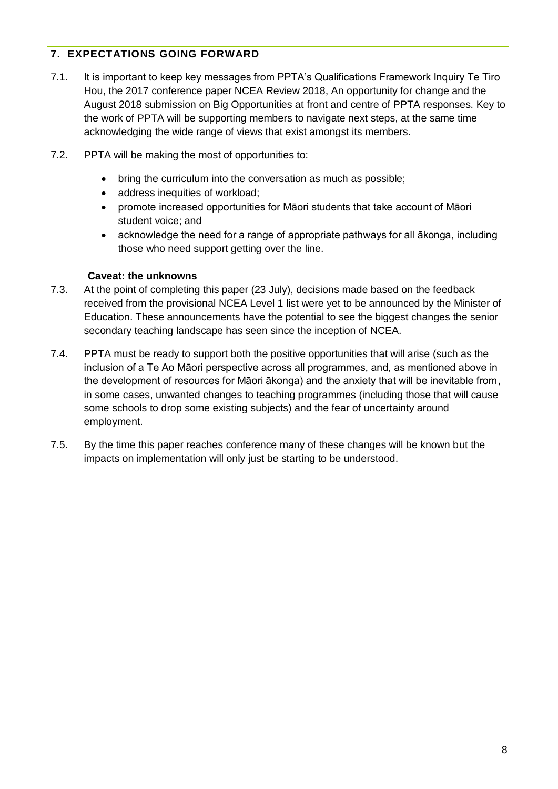## <span id="page-8-0"></span>**7. EXPECTATIONS GOING FORWARD**

- 7.1. It is important to keep key messages from PPTA's Qualifications Framework Inquiry Te Tiro Hou, the 2017 conference paper NCEA Review 2018, An opportunity for change and the August 2018 submission on Big Opportunities at front and centre of PPTA responses. Key to the work of PPTA will be supporting members to navigate next steps, at the same time acknowledging the wide range of views that exist amongst its members.
- 7.2. PPTA will be making the most of opportunities to:
	- bring the curriculum into the conversation as much as possible;
	- address inequities of workload;
	- promote increased opportunities for Māori students that take account of Māori student voice; and
	- acknowledge the need for a range of appropriate pathways for all ākonga, including those who need support getting over the line.

#### **Caveat: the unknowns**

- 7.3. At the point of completing this paper (23 July), decisions made based on the feedback received from the provisional NCEA Level 1 list were yet to be announced by the Minister of Education. These announcements have the potential to see the biggest changes the senior secondary teaching landscape has seen since the inception of NCEA.
- 7.4. PPTA must be ready to support both the positive opportunities that will arise (such as the inclusion of a Te Ao Māori perspective across all programmes, and, as mentioned above in the development of resources for Māori ākonga) and the anxiety that will be inevitable from, in some cases, unwanted changes to teaching programmes (including those that will cause some schools to drop some existing subjects) and the fear of uncertainty around employment.
- 7.5. By the time this paper reaches conference many of these changes will be known but the impacts on implementation will only just be starting to be understood.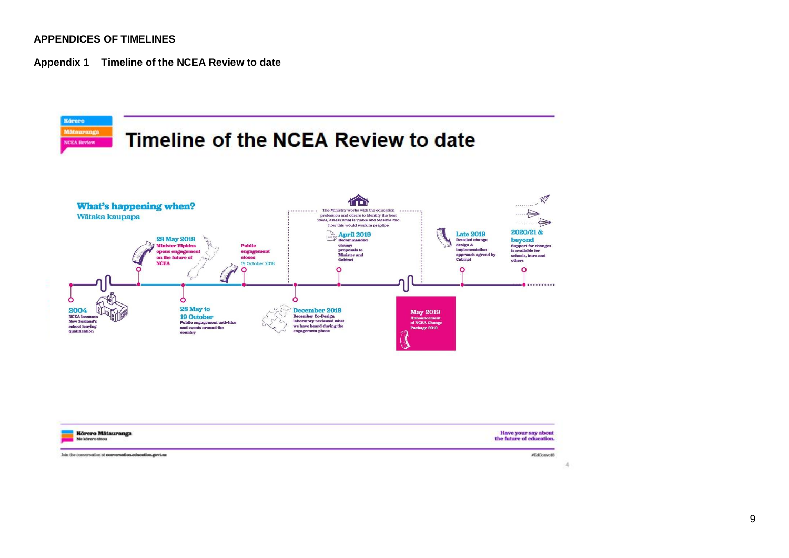#### **APPENDICES OF TIMELINES**

**Appendix 1 Timeline of the NCEA Review to date**



Join the conversation at conversation education govt.nz

 $\mathbf{A}$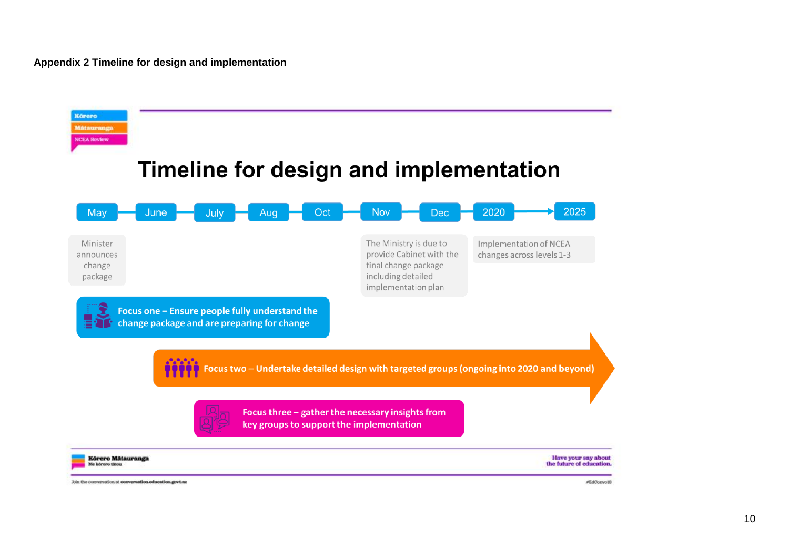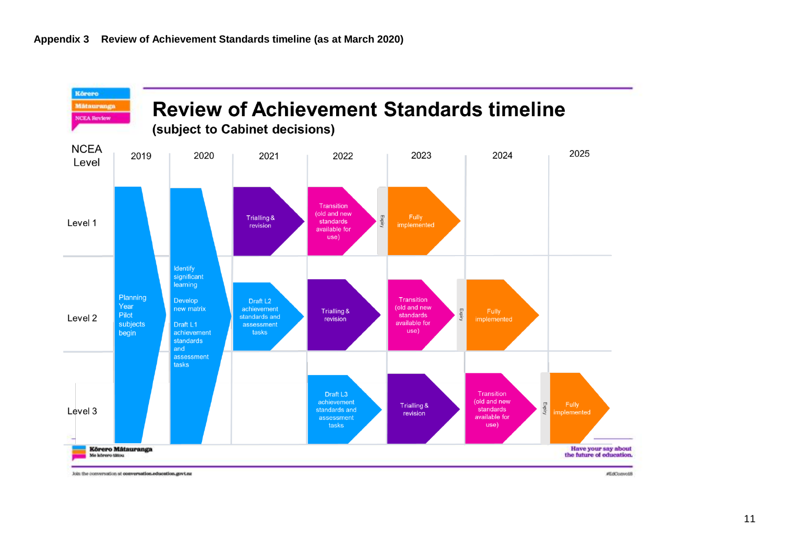

Join the conversation at conversation education.govt.nz

#EdConvot8